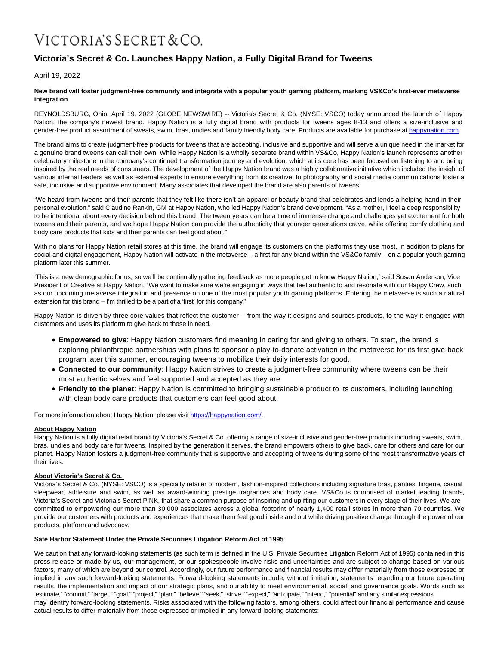# VICTORIA'S SECRET & CO.

## **Victoria's Secret & Co. Launches Happy Nation, a Fully Digital Brand for Tweens**

April 19, 2022

### **New brand will foster judgment-free community and integrate with a popular youth gaming platform, marking VS&Co's first-ever metaverse integration**

REYNOLDSBURG, Ohio, April 19, 2022 (GLOBE NEWSWIRE) -- Victoria's Secret & Co. (NYSE: VSCO) today announced the launch of Happy Nation, the company's newest brand. Happy Nation is a fully digital brand with products for tweens ages 8-13 and offers a size-inclusive and gender-free product assortment of sweats, swim, bras, undies and family friendly body care. Products are available for purchase a[t happynation.com.](https://www.globenewswire.com/Tracker?data=WtC3WqwzorIVsXV36hprare4vkkZhKzVYM98kn_pjr-O2woKxd272466aAcD5DRHkoKo8Y__7jDIDMyFLVOAzw==)

The brand aims to create judgment-free products for tweens that are accepting, inclusive and supportive and will serve a unique need in the market for a genuine brand tweens can call their own. While Happy Nation is a wholly separate brand within VS&Co, Happy Nation's launch represents another celebratory milestone in the company's continued transformation journey and evolution, which at its core has been focused on listening to and being inspired by the real needs of consumers. The development of the Happy Nation brand was a highly collaborative initiative which included the insight of various internal leaders as well as external experts to ensure everything from its creative, to photography and social media communications foster a safe, inclusive and supportive environment. Many associates that developed the brand are also parents of tweens.

"We heard from tweens and their parents that they felt like there isn't an apparel or beauty brand that celebrates and lends a helping hand in their personal evolution," said Claudine Rankin, GM at Happy Nation, who led Happy Nation's brand development. "As a mother, I feel a deep responsibility to be intentional about every decision behind this brand. The tween years can be a time of immense change and challenges yet excitement for both tweens and their parents, and we hope Happy Nation can provide the authenticity that younger generations crave, while offering comfy clothing and body care products that kids and their parents can feel good about."

With no plans for Happy Nation retail stores at this time, the brand will engage its customers on the platforms they use most. In addition to plans for social and digital engagement, Happy Nation will activate in the metaverse - a first for any brand within the VS&Co family - on a popular youth gaming platform later this summer.

"This is a new demographic for us, so we'll be continually gathering feedback as more people get to know Happy Nation," said Susan Anderson, Vice President of Creative at Happy Nation. "We want to make sure we're engaging in ways that feel authentic to and resonate with our Happy Crew, such as our upcoming metaverse integration and presence on one of the most popular youth gaming platforms. Entering the metaverse is such a natural extension for this brand – I'm thrilled to be a part of a 'first' for this company."

Happy Nation is driven by three core values that reflect the customer – from the way it designs and sources products, to the way it engages with customers and uses its platform to give back to those in need.

- **Empowered to give**: Happy Nation customers find meaning in caring for and giving to others. To start, the brand is exploring philanthropic partnerships with plans to sponsor a play-to-donate activation in the metaverse for its first give-back program later this summer, encouraging tweens to mobilize their daily interests for good.
- **Connected to our community**: Happy Nation strives to create a judgment-free community where tweens can be their most authentic selves and feel supported and accepted as they are.
- **Friendly to the planet**: Happy Nation is committed to bringing sustainable product to its customers, including launching with clean body care products that customers can feel good about.

For more information about Happy Nation, please visit [https://happynation.com/.](https://www.globenewswire.com/Tracker?data=jSGAaZitTkUM7dLJZEg5l4PZNbmUGJgt--mO0HyiKuydhW-euS0rJoZtBbVi1FwRbAEGP05GGbMZ49zkxoby_Er9Xcy8RLCp068pHSeFOHA=)

### **About Happy Nation**

Happy Nation is a fully digital retail brand by Victoria's Secret & Co. offering a range of size-inclusive and gender-free products including sweats, swim, bras, undies and body care for tweens. Inspired by the generation it serves, the brand empowers others to give back, care for others and care for our planet. Happy Nation fosters a judgment-free community that is supportive and accepting of tweens during some of the most transformative years of their lives.

### **About Victoria's Secret & Co.**

Victoria's Secret & Co. (NYSE: VSCO) is a specialty retailer of modern, fashion-inspired collections including signature bras, panties, lingerie, casual sleepwear, athleisure and swim, as well as award-winning prestige fragrances and body care. VS&Co is comprised of market leading brands, Victoria's Secret and Victoria's Secret PINK, that share a common purpose of inspiring and uplifting our customers in every stage of their lives. We are committed to empowering our more than 30,000 associates across a global footprint of nearly 1,400 retail stores in more than 70 countries. We provide our customers with products and experiences that make them feel good inside and out while driving positive change through the power of our products, platform and advocacy.

### **Safe Harbor Statement Under the Private Securities Litigation Reform Act of 1995**

We caution that any forward-looking statements (as such term is defined in the U.S. Private Securities Litigation Reform Act of 1995) contained in this press release or made by us, our management, or our spokespeople involve risks and uncertainties and are subject to change based on various factors, many of which are beyond our control. Accordingly, our future performance and financial results may differ materially from those expressed or implied in any such forward-looking statements. Forward-looking statements include, without limitation, statements regarding our future operating results, the implementation and impact of our strategic plans, and our ability to meet environmental, social, and governance goals. Words such as "estimate," "commit," "target," "goal," "project," "plan," "believe," "seek," "strive," "expect," "anticipate," "intend," "potential" and any similar expressions may identify forward-looking statements. Risks associated with the following factors, among others, could affect our financial performance and cause actual results to differ materially from those expressed or implied in any forward-looking statements: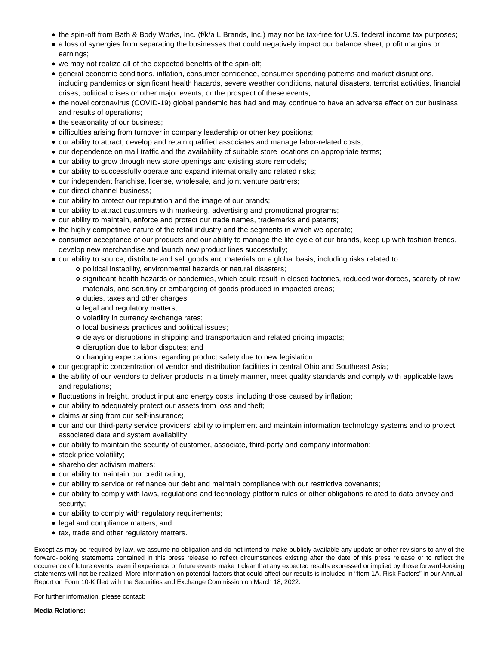- the spin-off from Bath & Body Works, Inc. (f/k/a L Brands, Inc.) may not be tax-free for U.S. federal income tax purposes;
- a loss of synergies from separating the businesses that could negatively impact our balance sheet, profit margins or earnings;
- we may not realize all of the expected benefits of the spin-off;
- general economic conditions, inflation, consumer confidence, consumer spending patterns and market disruptions, including pandemics or significant health hazards, severe weather conditions, natural disasters, terrorist activities, financial crises, political crises or other major events, or the prospect of these events;
- the novel coronavirus (COVID-19) global pandemic has had and may continue to have an adverse effect on our business and results of operations;
- the seasonality of our business;
- difficulties arising from turnover in company leadership or other key positions;
- our ability to attract, develop and retain qualified associates and manage labor-related costs;
- our dependence on mall traffic and the availability of suitable store locations on appropriate terms;
- our ability to grow through new store openings and existing store remodels;
- our ability to successfully operate and expand internationally and related risks;
- our independent franchise, license, wholesale, and joint venture partners;
- our direct channel business;
- our ability to protect our reputation and the image of our brands;
- our ability to attract customers with marketing, advertising and promotional programs;
- our ability to maintain, enforce and protect our trade names, trademarks and patents;
- the highly competitive nature of the retail industry and the segments in which we operate;
- consumer acceptance of our products and our ability to manage the life cycle of our brands, keep up with fashion trends, develop new merchandise and launch new product lines successfully;
- our ability to source, distribute and sell goods and materials on a global basis, including risks related to:
	- political instability, environmental hazards or natural disasters;
	- significant health hazards or pandemics, which could result in closed factories, reduced workforces, scarcity of raw materials, and scrutiny or embargoing of goods produced in impacted areas;
	- duties, taxes and other charges;
	- o legal and regulatory matters;
	- o volatility in currency exchange rates;
	- o local business practices and political issues;
	- delays or disruptions in shipping and transportation and related pricing impacts;
	- o disruption due to labor disputes; and
	- changing expectations regarding product safety due to new legislation;
- our geographic concentration of vendor and distribution facilities in central Ohio and Southeast Asia;
- the ability of our vendors to deliver products in a timely manner, meet quality standards and comply with applicable laws and regulations;
- fluctuations in freight, product input and energy costs, including those caused by inflation;
- our ability to adequately protect our assets from loss and theft;
- claims arising from our self-insurance;
- our and our third-party service providers' ability to implement and maintain information technology systems and to protect associated data and system availability;
- our ability to maintain the security of customer, associate, third-party and company information;
- stock price volatility;
- shareholder activism matters;
- our ability to maintain our credit rating;
- our ability to service or refinance our debt and maintain compliance with our restrictive covenants;
- our ability to comply with laws, regulations and technology platform rules or other obligations related to data privacy and security;
- our ability to comply with regulatory requirements;
- legal and compliance matters; and
- tax, trade and other regulatory matters.

Except as may be required by law, we assume no obligation and do not intend to make publicly available any update or other revisions to any of the forward-looking statements contained in this press release to reflect circumstances existing after the date of this press release or to reflect the occurrence of future events, even if experience or future events make it clear that any expected results expressed or implied by those forward-looking statements will not be realized. More information on potential factors that could affect our results is included in "Item 1A. Risk Factors" in our Annual Report on Form 10-K filed with the Securities and Exchange Commission on March 18, 2022.

For further information, please contact: